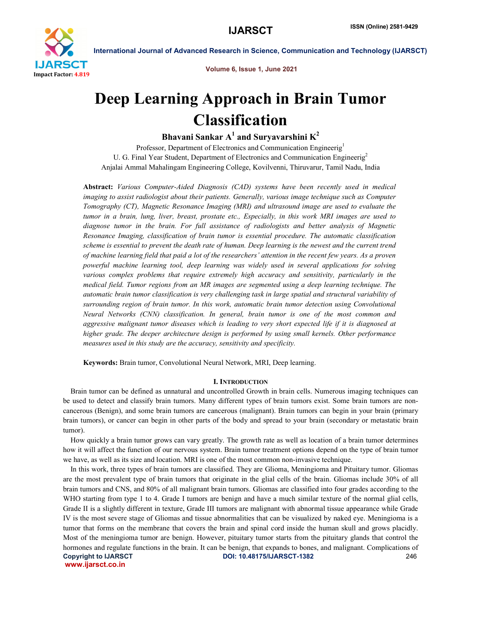

Volume 6, Issue 1, June 2021

# Deep Learning Approach in Brain Tumor Classification

Bhavani Sankar  $A^1$  and Suryavarshini  $K^2$ 

Professor, Department of Electronics and Communication Engineerig<sup>1</sup> U. G. Final Year Student, Department of Electronics and Communication Engineerig<sup>2</sup> Anjalai Ammal Mahalingam Engineering College, Kovilvenni, Thiruvarur, Tamil Nadu, India

Abstract: *Various Computer-Aided Diagnosis (CAD) systems have been recently used in medical imaging to assist radiologist about their patients. Generally, various image technique such as Computer Tomography (CT), Magnetic Resonance Imaging (MRI) and ultrasound image are used to evaluate the tumor in a brain, lung, liver, breast, prostate etc., Especially, in this work MRI images are used to diagnose tumor in the brain. For full assistance of radiologists and better analysis of Magnetic Resonance Imaging, classification of brain tumor is essential procedure. The automatic classification scheme is essential to prevent the death rate of human. Deep learning is the newest and the current trend of machine learning field that paid a lot of the researchers' attention in the recent few years. As a proven powerful machine learning tool, deep learning was widely used in several applications for solving various complex problems that require extremely high accuracy and sensitivity, particularly in the medical field. Tumor regions from an MR images are segmented using a deep learning technique. The automatic brain tumor classification is very challenging task in large spatial and structural variability of surrounding region of brain tumor. In this work, automatic brain tumor detection using Convolutional Neural Networks (CNN) classification. In general, brain tumor is one of the most common and aggressive malignant tumor diseases which is leading to very short expected life if it is diagnosed at higher grade. The deeper architecture design is performed by using small kernels. Other performance measures used in this study are the accuracy, sensitivity and specificity.*

Keywords: Brain tumor, Convolutional Neural Network, MRI, Deep learning.

# I. INTRODUCTION

 Brain tumor can be defined as unnatural and uncontrolled Growth in brain cells. Numerous imaging techniques can be used to detect and classify brain tumors. Many different types of brain tumors exist. Some brain tumors are noncancerous (Benign), and some brain tumors are cancerous (malignant). Brain tumors can begin in your brain (primary brain tumors), or cancer can begin in other parts of the body and spread to your brain (secondary or metastatic brain tumor).

 How quickly a brain tumor grows can vary greatly. The growth rate as well as location of a brain tumor determines how it will affect the function of our nervous system. Brain tumor treatment options depend on the type of brain tumor we have, as well as its size and location. MRI is one of the most common non-invasive technique.

Copyright to IJARSCT **DOI: 10.48175/IJARSCT-1382** 246 www.ijarsct.co.in In this work, three types of brain tumors are classified. They are Glioma, Meningioma and Pituitary tumor. Gliomas are the most prevalent type of brain tumors that originate in the glial cells of the brain. Gliomas include 30% of all brain tumors and CNS, and 80% of all malignant brain tumors. Gliomas are classified into four grades according to the WHO starting from type 1 to 4. Grade I tumors are benign and have a much similar texture of the normal glial cells, Grade II is a slightly different in texture, Grade III tumors are malignant with abnormal tissue appearance while Grade IV is the most severe stage of Gliomas and tissue abnormalities that can be visualized by naked eye. Meningioma is a tumor that forms on the membrane that covers the brain and spinal cord inside the human skull and grows placidly. Most of the meningioma tumor are benign. However, pituitary tumor starts from the pituitary glands that control the hormones and regulate functions in the brain. It can be benign, that expands to bones, and malignant. Complications of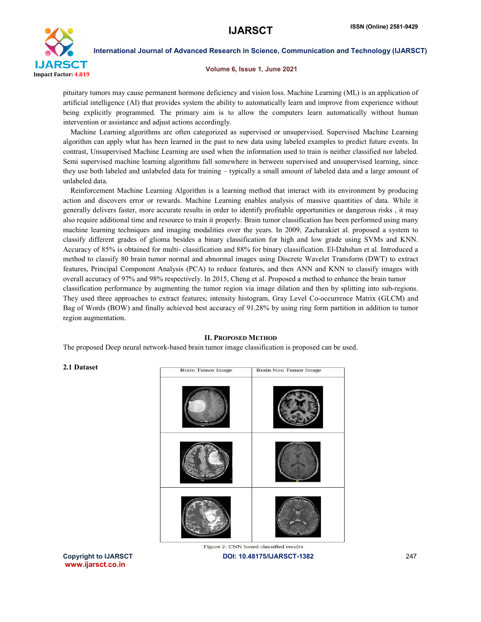

#### Volume 6, Issue 1, June 2021

pituitary tumors may cause permanent hormone deficiency and vision loss. Machine Learning (ML) is an application of artificial intelligence (AI) that provides system the ability to automatically learn and improve from experience without being explicitly programmed. The primary aim is to allow the computers learn automatically without human intervention or assistance and adjust actions accordingly.

 Machine Learning algorithms are often categorized as supervised or unsupervised. Supervised Machine Learning algorithm can apply what has been learned in the past to new data using labeled examples to predict future events. In contrast, Unsupervised Machine Learning are used when the information used to train is neither classified nor labeled. Semi supervised machine learning algorithms fall somewhere in between supervised and unsupervised learning, since they use both labeled and unlabeled data for training – typically a small amount of labeled data and a large amount of unlabeled data.

 Reinforcement Machine Learning Algorithm is a learning method that interact with its environment by producing action and discovers error or rewards. Machine Learning enables analysis of massive quantities of data. While it generally delivers faster, more accurate results in order to identify profitable opportunities or dangerous risks , it may also require additional time and resource to train it properly. Brain tumor classification has been performed using many machine learning techniques and imaging modalities over the years. In 2009, Zacharakiet al. proposed a system to classify different grades of glioma besides a binary classification for high and low grade using SVMs and KNN. Accuracy of 85% is obtained for multi- classification and 88% for binary classification. El-Dahshan et al. Introduced a method to classify 80 brain tumor normal and abnormal images using Discrete Wavelet Transform (DWT) to extract features, Principal Component Analysis (PCA) to reduce features, and then ANN and KNN to classify images with overall accuracy of 97% and 98% respectively. In 2015, Cheng et al. Proposed a method to enhance the brain tumor classification performance by augmenting the tumor region via image dilation and then by splitting into sub-regions. They used three approaches to extract features; intensity histogram, Gray Level Co-occurrence Matrix (GLCM) and Bag of Words (BOW) and finally achieved best accuracy of 91.28% by using ring form partition in addition to tumor region augmentation.

# II. PROPOSED METHOD

The proposed Deep neural network-based brain tumor image classification is proposed can be used.

# 2.1 Dataset



Copyright to IJARSCT **DOI: 10.48175/IJARSCT-1382** 247 www.ijarsct.co.in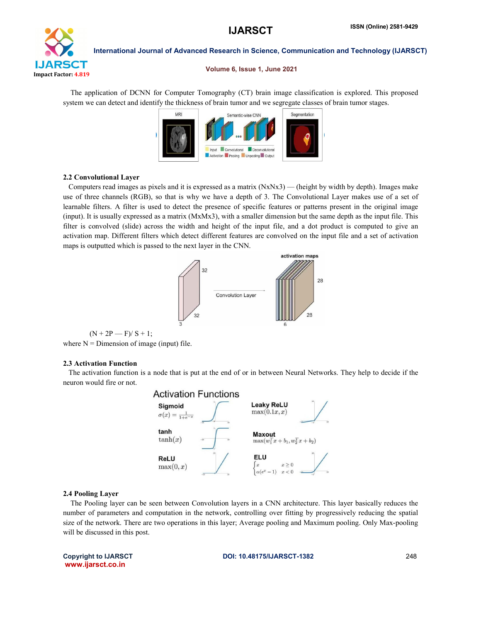

### Volume 6, Issue 1, June 2021

 The application of DCNN for Computer Tomography (CT) brain image classification is explored. This proposed system we can detect and identify the thickness of brain tumor and we segregate classes of brain tumor stages.



# 2.2 Convolutional Layer

 Computers read images as pixels and it is expressed as a matrix (NxNx3) — (height by width by depth). Images make use of three channels (RGB), so that is why we have a depth of 3. The Convolutional Layer makes use of a set of learnable filters. A filter is used to detect the presence of specific features or patterns present in the original image (input). It is usually expressed as a matrix (MxMx3), with a smaller dimension but the same depth as the input file. This filter is convolved (slide) across the width and height of the input file, and a dot product is computed to give an activation map. Different filters which detect different features are convolved on the input file and a set of activation maps is outputted which is passed to the next layer in the CNN.



 $(N + 2P - F)/ S + 1;$ where  $N =$  Dimension of image (input) file.

# 2.3 Activation Function

 The activation function is a node that is put at the end of or in between Neural Networks. They help to decide if the neuron would fire or not.

![](_page_2_Figure_13.jpeg)

# 2.4 Pooling Layer

 The Pooling layer can be seen between Convolution layers in a CNN architecture. This layer basically reduces the number of parameters and computation in the network, controlling over fitting by progressively reducing the spatial size of the network. There are two operations in this layer; Average pooling and Maximum pooling. Only Max-pooling will be discussed in this post.

www.ijarsct.co.in

## Copyright to IJARSCT **DOI: 10.48175/IJARSCT-1382** 248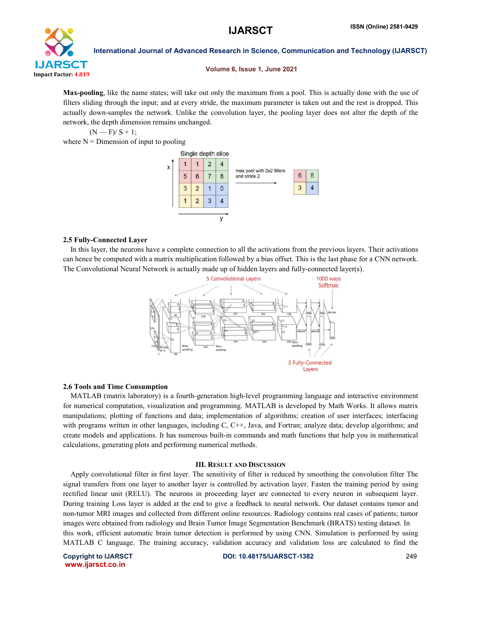![](_page_3_Picture_2.jpeg)

## Volume 6, Issue 1, June 2021

Max-pooling, like the name states; will take out only the maximum from a pool. This is actually done with the use of filters sliding through the input; and at every stride, the maximum parameter is taken out and the rest is dropped. This actually down-samples the network. Unlike the convolution layer, the pooling layer does not alter the depth of the network, the depth dimension remains unchanged.

 $(N - F)/S + 1$ ;

where  $N =$  Dimension of input to pooling

![](_page_3_Figure_8.jpeg)

## 2.5 Fully-Connected Layer

 In this layer, the neurons have a complete connection to all the activations from the previous layers. Their activations can hence be computed with a matrix multiplication followed by a bias offset. This is the last phase for a CNN network. The Convolutional Neural Network is actually made up of hidden layers and fully-connected layer(s).

![](_page_3_Figure_11.jpeg)

# 2.6 Tools and Time Consumption

 MATLAB (matrix laboratory) is a fourth-generation high-level programming language and interactive environment for numerical computation, visualization and programming. MATLAB is developed by Math Works. It allows matrix manipulations; plotting of functions and data; implementation of algorithms; creation of user interfaces; interfacing with programs written in other languages, including C, C++, Java, and Fortran; analyze data; develop algorithms; and create models and applications. It has numerous built-in commands and math functions that help you in mathematical calculations, generating plots and performing numerical methods.

#### III. RESULT AND DISCUSSION

 Apply convolutional filter in first layer. The sensitivity of filter is reduced by smoothing the convolution filter The signal transfers from one layer to another layer is controlled by activation layer. Fasten the training period by using rectified linear unit (RELU). The neurons in proceeding layer are connected to every neuron in subsequent layer. During training Loss layer is added at the end to give a feedback to neural network. Our dataset contains tumor and non-tumor MRI images and collected from different online resources. Radiology contains real cases of patients; tumor images were obtained from radiology and Brain Tumor Image Segmentation Benchmark (BRATS) testing dataset. In this work, efficient automatic brain tumor detection is performed by using CNN. Simulation is performed by using MATLAB C language. The training accuracy, validation accuracy and validation loss are calculated to find the

www.ijarsct.co.in

Copyright to IJARSCT DOI: 10.48175/IJARSCT-1382 249